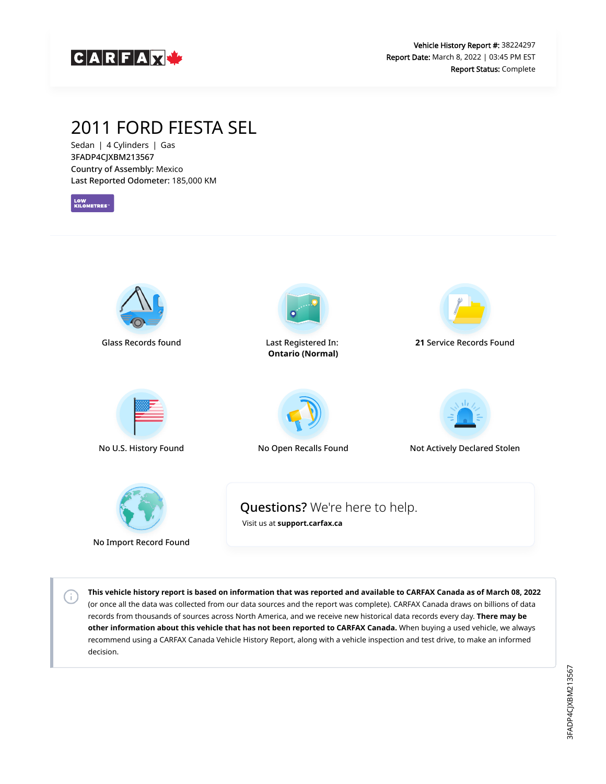

### 2011 FORD FIESTA SEL

Sedan | 4 Cylinders | Gas 3FADP4CJXBM213567 Country of Assembly: Mexico Last Reported Odometer: 185,000 KM

LOW<br>KILOMETRES<sup>-</sup>



No Import Record Found

 $\left( \cdot \right)$ 

**This vehicle history report is based on information that was reported and available to CARFAX Canada as of March 08, 2022** (or once all the data was collected from our data sources and the report was complete). CARFAX Canada draws on billions of data records from thousands of sources across North America, and we receive new historical data records every day. **There may be other information about this vehicle that has not been reported to CARFAX Canada.** When buying a used vehicle, we always recommend using a CARFAX Canada Vehicle History Report, along with a vehicle inspection and test drive, to make an informed decision.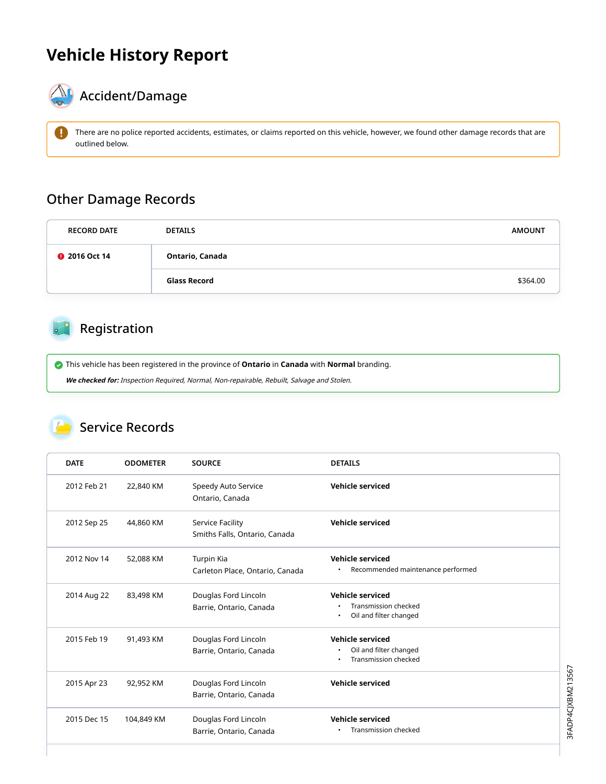## **Vehicle History Report**



# $\bigotimes$  Accident/Damage

There are no police reported accidents, estimates, or claims reported on this vehicle, however, we found other damage records that are outlined below.

#### Other Damage Records

| <b>RECORD DATE</b>   | <b>DETAILS</b>  | <b>AMOUNT</b> |
|----------------------|-----------------|---------------|
| <b>@</b> 2016 Oct 14 | Ontario, Canada |               |
|                      | Glass Record    | \$364.00      |

### Registration

 This vehicle has been registered in the province of **Ontario** in **Canada** with **Normal** branding. **We checked for:** Inspection Required, Normal, Non-repairable, Rebuilt, Salvage and Stolen.

#### Service Records

| <b>DATE</b> | <b>ODOMETER</b> | <b>SOURCE</b>                                     | <b>DETAILS</b>                                                                  |
|-------------|-----------------|---------------------------------------------------|---------------------------------------------------------------------------------|
| 2012 Feb 21 | 22,840 KM       | Speedy Auto Service<br>Ontario, Canada            | Vehicle serviced                                                                |
| 2012 Sep 25 | 44,860 KM       | Service Facility<br>Smiths Falls, Ontario, Canada | Vehicle serviced                                                                |
| 2012 Nov 14 | 52,088 KM       | Turpin Kia<br>Carleton Place, Ontario, Canada     | Vehicle serviced<br>Recommended maintenance performed                           |
| 2014 Aug 22 | 83,498 KM       | Douglas Ford Lincoln<br>Barrie, Ontario, Canada   | Vehicle serviced<br>Transmission checked<br>Oil and filter changed<br>$\bullet$ |
| 2015 Feb 19 | 91,493 KM       | Douglas Ford Lincoln<br>Barrie, Ontario, Canada   | Vehicle serviced<br>Oil and filter changed<br>Transmission checked              |
| 2015 Apr 23 | 92,952 KM       | Douglas Ford Lincoln<br>Barrie, Ontario, Canada   | <b>Vehicle serviced</b>                                                         |
| 2015 Dec 15 | 104,849 KM      | Douglas Ford Lincoln<br>Barrie, Ontario, Canada   | Vehicle serviced<br>Transmission checked                                        |

3FADP4CJXBM213567 3FADP4CJXBM213567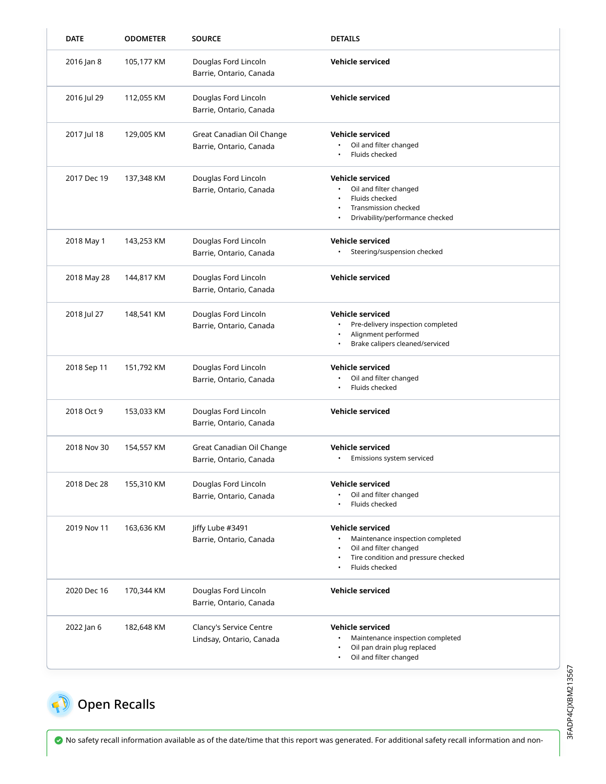| <b>DATE</b> | <b>ODOMETER</b> | <b>SOURCE</b>                                        | <b>DETAILS</b>                                                                                                                                 |
|-------------|-----------------|------------------------------------------------------|------------------------------------------------------------------------------------------------------------------------------------------------|
| 2016 Jan 8  | 105,177 KM      | Douglas Ford Lincoln<br>Barrie, Ontario, Canada      | Vehicle serviced                                                                                                                               |
| 2016 Jul 29 | 112,055 KM      | Douglas Ford Lincoln<br>Barrie, Ontario, Canada      | <b>Vehicle serviced</b>                                                                                                                        |
| 2017 Jul 18 | 129,005 KM      | Great Canadian Oil Change<br>Barrie, Ontario, Canada | <b>Vehicle serviced</b><br>Oil and filter changed<br>Fluids checked                                                                            |
| 2017 Dec 19 | 137,348 KM      | Douglas Ford Lincoln<br>Barrie, Ontario, Canada      | <b>Vehicle serviced</b><br>Oil and filter changed<br>Fluids checked<br>Transmission checked<br>Drivability/performance checked                 |
| 2018 May 1  | 143,253 KM      | Douglas Ford Lincoln<br>Barrie, Ontario, Canada      | Vehicle serviced<br>Steering/suspension checked                                                                                                |
| 2018 May 28 | 144,817 KM      | Douglas Ford Lincoln<br>Barrie, Ontario, Canada      | Vehicle serviced                                                                                                                               |
| 2018 Jul 27 | 148,541 KM      | Douglas Ford Lincoln<br>Barrie, Ontario, Canada      | Vehicle serviced<br>Pre-delivery inspection completed<br>Alignment performed<br>Brake calipers cleaned/serviced                                |
| 2018 Sep 11 | 151,792 KM      | Douglas Ford Lincoln<br>Barrie, Ontario, Canada      | Vehicle serviced<br>Oil and filter changed<br>Fluids checked                                                                                   |
| 2018 Oct 9  | 153,033 KM      | Douglas Ford Lincoln<br>Barrie, Ontario, Canada      | <b>Vehicle serviced</b>                                                                                                                        |
| 2018 Nov 30 | 154,557 KM      | Great Canadian Oil Change<br>Barrie, Ontario, Canada | Vehicle serviced<br>Emissions system serviced                                                                                                  |
| 2018 Dec 28 | 155,310 KM      | Douglas Ford Lincoln<br>Barrie, Ontario, Canada      | Vehicle serviced<br>Oil and filter changed<br>Fluids checked                                                                                   |
| 2019 Nov 11 | 163,636 KM      | Jiffy Lube #3491<br>Barrie, Ontario, Canada          | <b>Vehicle serviced</b><br>Maintenance inspection completed<br>Oil and filter changed<br>Tire condition and pressure checked<br>Fluids checked |
| 2020 Dec 16 | 170,344 KM      | Douglas Ford Lincoln<br>Barrie, Ontario, Canada      | <b>Vehicle serviced</b>                                                                                                                        |
| 2022 Jan 6  | 182,648 KM      | Clancy's Service Centre<br>Lindsay, Ontario, Canada  | Vehicle serviced<br>Maintenance inspection completed<br>Oil pan drain plug replaced<br>Oil and filter changed                                  |

# <span id="page-2-0"></span>**Open Recalls**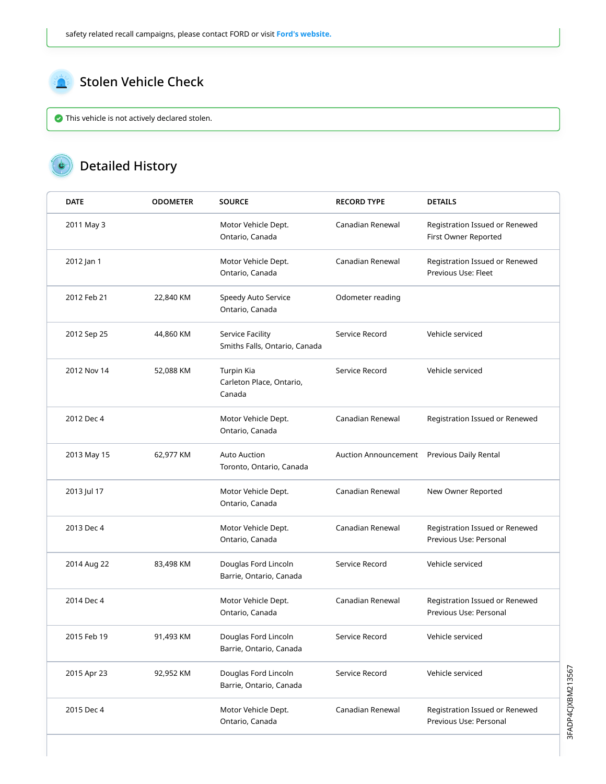<span id="page-3-0"></span>

This vehicle is not actively declared stolen.

### Detailed History

| <b>DATE</b> | <b>ODOMETER</b> | <b>SOURCE</b>                                     | <b>RECORD TYPE</b>   | <b>DETAILS</b>                                           |
|-------------|-----------------|---------------------------------------------------|----------------------|----------------------------------------------------------|
| 2011 May 3  |                 | Motor Vehicle Dept.<br>Ontario, Canada            | Canadian Renewal     | Registration Issued or Renewed<br>First Owner Reported   |
| 2012 Jan 1  |                 | Motor Vehicle Dept.<br>Ontario, Canada            | Canadian Renewal     | Registration Issued or Renewed<br>Previous Use: Fleet    |
| 2012 Feb 21 | 22,840 KM       | Speedy Auto Service<br>Ontario, Canada            | Odometer reading     |                                                          |
| 2012 Sep 25 | 44,860 KM       | Service Facility<br>Smiths Falls, Ontario, Canada | Service Record       | Vehicle serviced                                         |
| 2012 Nov 14 | 52,088 KM       | Turpin Kia<br>Carleton Place, Ontario,<br>Canada  | Service Record       | Vehicle serviced                                         |
| 2012 Dec 4  |                 | Motor Vehicle Dept.<br>Ontario, Canada            | Canadian Renewal     | Registration Issued or Renewed                           |
| 2013 May 15 | 62,977 KM       | <b>Auto Auction</b><br>Toronto, Ontario, Canada   | Auction Announcement | Previous Daily Rental                                    |
| 2013 Jul 17 |                 | Motor Vehicle Dept.<br>Ontario, Canada            | Canadian Renewal     | New Owner Reported                                       |
| 2013 Dec 4  |                 | Motor Vehicle Dept.<br>Ontario, Canada            | Canadian Renewal     | Registration Issued or Renewed<br>Previous Use: Personal |
| 2014 Aug 22 | 83,498 KM       | Douglas Ford Lincoln<br>Barrie, Ontario, Canada   | Service Record       | Vehicle serviced                                         |
| 2014 Dec 4  |                 | Motor Vehicle Dept.<br>Ontario, Canada            | Canadian Renewal     | Registration Issued or Renewed<br>Previous Use: Personal |
| 2015 Feb 19 | 91,493 KM       | Douglas Ford Lincoln<br>Barrie, Ontario, Canada   | Service Record       | Vehicle serviced                                         |
| 2015 Apr 23 | 92,952 KM       | Douglas Ford Lincoln<br>Barrie, Ontario, Canada   | Service Record       | Vehicle serviced                                         |
| 2015 Dec 4  |                 | Motor Vehicle Dept.<br>Ontario, Canada            | Canadian Renewal     | Registration Issued or Renewed<br>Previous Use: Personal |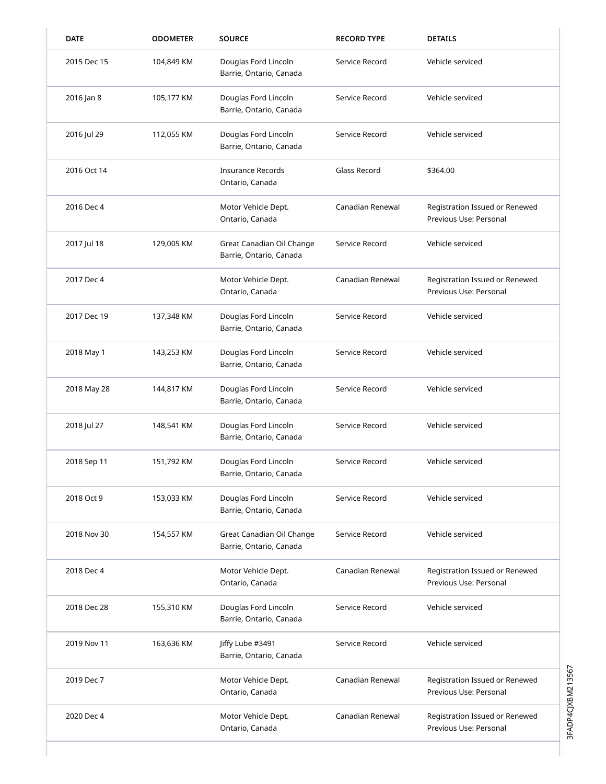| <b>DATE</b> | <b>ODOMETER</b> | <b>SOURCE</b>                                        | <b>RECORD TYPE</b> | <b>DETAILS</b>                                           |
|-------------|-----------------|------------------------------------------------------|--------------------|----------------------------------------------------------|
| 2015 Dec 15 | 104,849 KM      | Douglas Ford Lincoln<br>Barrie, Ontario, Canada      | Service Record     | Vehicle serviced                                         |
| 2016 Jan 8  | 105,177 KM      | Douglas Ford Lincoln<br>Barrie, Ontario, Canada      | Service Record     | Vehicle serviced                                         |
| 2016 Jul 29 | 112,055 KM      | Douglas Ford Lincoln<br>Barrie, Ontario, Canada      | Service Record     | Vehicle serviced                                         |
| 2016 Oct 14 |                 | <b>Insurance Records</b><br>Ontario, Canada          | Glass Record       | \$364.00                                                 |
| 2016 Dec 4  |                 | Motor Vehicle Dept.<br>Ontario, Canada               | Canadian Renewal   | Registration Issued or Renewed<br>Previous Use: Personal |
| 2017 Jul 18 | 129,005 KM      | Great Canadian Oil Change<br>Barrie, Ontario, Canada | Service Record     | Vehicle serviced                                         |
| 2017 Dec 4  |                 | Motor Vehicle Dept.<br>Ontario, Canada               | Canadian Renewal   | Registration Issued or Renewed<br>Previous Use: Personal |
| 2017 Dec 19 | 137,348 KM      | Douglas Ford Lincoln<br>Barrie, Ontario, Canada      | Service Record     | Vehicle serviced                                         |
| 2018 May 1  | 143,253 KM      | Douglas Ford Lincoln<br>Barrie, Ontario, Canada      | Service Record     | Vehicle serviced                                         |
| 2018 May 28 | 144,817 KM      | Douglas Ford Lincoln<br>Barrie, Ontario, Canada      | Service Record     | Vehicle serviced                                         |
| 2018 Jul 27 | 148,541 KM      | Douglas Ford Lincoln<br>Barrie, Ontario, Canada      | Service Record     | Vehicle serviced                                         |
| 2018 Sep 11 | 151,792 KM      | Douglas Ford Lincoln<br>Barrie, Ontario, Canada      | Service Record     | Vehicle serviced                                         |
| 2018 Oct 9  | 153,033 KM      | Douglas Ford Lincoln<br>Barrie, Ontario, Canada      | Service Record     | Vehicle serviced                                         |
| 2018 Nov 30 | 154,557 KM      | Great Canadian Oil Change<br>Barrie, Ontario, Canada | Service Record     | Vehicle serviced                                         |
| 2018 Dec 4  |                 | Motor Vehicle Dept.<br>Ontario, Canada               | Canadian Renewal   | Registration Issued or Renewed<br>Previous Use: Personal |
| 2018 Dec 28 | 155,310 KM      | Douglas Ford Lincoln<br>Barrie, Ontario, Canada      | Service Record     | Vehicle serviced                                         |
| 2019 Nov 11 | 163,636 KM      | Jiffy Lube #3491<br>Barrie, Ontario, Canada          | Service Record     | Vehicle serviced                                         |
| 2019 Dec 7  |                 | Motor Vehicle Dept.<br>Ontario, Canada               | Canadian Renewal   | Registration Issued or Renewed<br>Previous Use: Personal |
| 2020 Dec 4  |                 | Motor Vehicle Dept.<br>Ontario, Canada               | Canadian Renewal   | Registration Issued or Renewed<br>Previous Use: Personal |